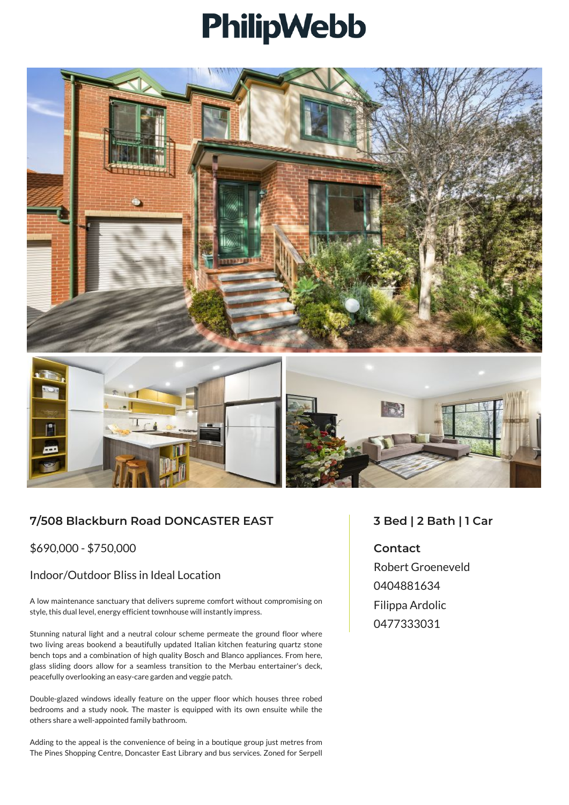## PhilipWebb





## **7/508 Blackburn Road DONCASTER EAST**

\$690,000 - \$750,000

## Indoor/Outdoor Bliss in Ideal Location

A low maintenance sanctuary that delivers supreme comfort without compromising on style, this dual level, energy efficient townhouse will instantly impress.

Stunning natural light and a neutral colour scheme permeate the ground floor where two living areas bookend a beautifully updated Italian kitchen featuring quartz stone bench tops and a combination of high quality Bosch and Blanco appliances. From here, glass sliding doors allow for a seamless transition to the Merbau entertainer's deck, peacefully overlooking an easy-care garden and veggie patch.

Double-glazed windows ideally feature on the upper floor which houses three robed bedrooms and a study nook. The master is equipped with its own ensuite while the others share a well-appointed family bathroom.

Adding to the appeal is the convenience of being in a boutique group just metres from The Pines Shopping Centre, Doncaster East Library and bus services. Zoned for Serpell

## **3 Bed | 2 Bath | 1 Car**

**Contact**

Robert Groeneveld 0404881634 Filippa Ardolic 0477333031